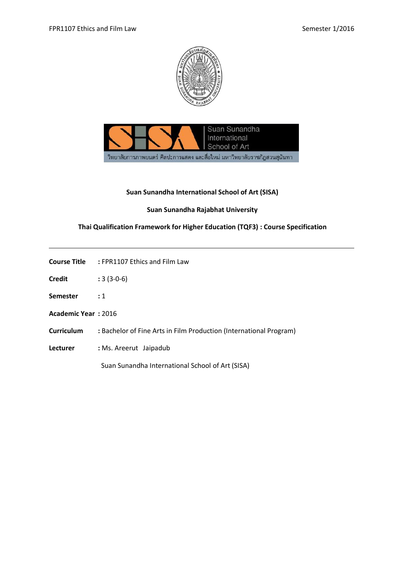



## **Suan Sunandha International School of Art (SISA)**

## **Suan Sunandha Rajabhat University**

# **Thai Qualification Framework for Higher Education (TQF3) : Course Specification**

| Course Title | : FPR1107 Ethics and Film Law |
|--------------|-------------------------------|
|              |                               |

- **Credit :** 3 (3-0-6)
- **Semester :** 1
- **Academic Year :** 2016
- **Curriculum :** Bachelor of Fine Arts in Film Production (International Program)
- **Lecturer :** Ms. Areerut Jaipadub

Suan Sunandha International School of Art (SISA)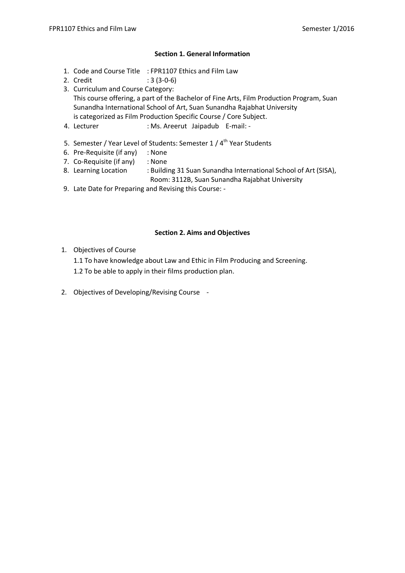## **Section 1. General Information**

- 1. Code and Course Title : FPR1107 Ethics and Film Law
- 2. Credit : 3 (3-0-6)
- 3. Curriculum and Course Category: This course offering, a part of the Bachelor of Fine Arts, Film Production Program, Suan Sunandha International School of Art, Suan Sunandha Rajabhat University is categorized as Film Production Specific Course / Core Subject.
- 4. Lecturer : Ms. Areerut Jaipadub E-mail: -
- 5. Semester / Year Level of Students: Semester 1 / 4<sup>th</sup> Year Students
- 6. Pre-Requisite (if any) : None
- 7. Co-Requisite (if any) : None
- 8. Learning Location : Building 31 Suan Sunandha International School of Art (SISA), Room: 3112B, Suan Sunandha Rajabhat University
- 9. Late Date for Preparing and Revising this Course: -

## **Section 2. Aims and Objectives**

- 1. Objectives of Course
	- 1.1 To have knowledge about Law and Ethic in Film Producing and Screening.
	- 1.2 To be able to apply in their films production plan.
- 2. Objectives of Developing/Revising Course -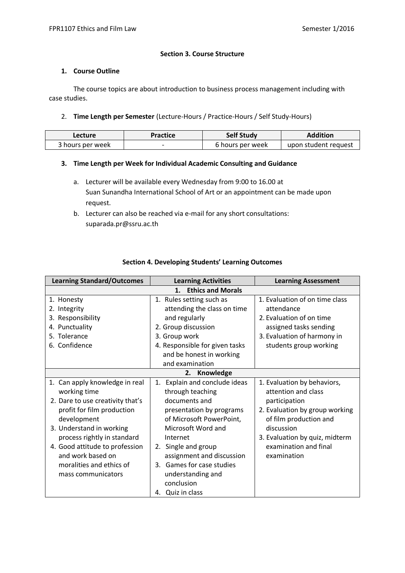### **Section 3. Course Structure**

### **1. Course Outline**

The course topics are about introduction to business process management including with case studies.

### 2. **Time Length per Semester** (Lecture-Hours / Practice-Hours / Self Study-Hours)

| Lecture          | Practice | <b>Self Study</b> | Addition             |
|------------------|----------|-------------------|----------------------|
| 3 hours per week |          | 6 hours per week  | upon student request |

## **3. Time Length per Week for Individual Academic Consulting and Guidance**

- a. Lecturer will be available every Wednesday from 9:00 to 16.00 at Suan Sunandha International School of Art or an appointment can be made upon request.
- b. Lecturer can also be reached via e-mail for any short consultations: suparada.pr@ssru.ac.th

| <b>Learning Standard/Outcomes</b>                                                                                                                                                                                                                                                                   | <b>Learning Activities</b>                                                                                                                                                                                                                                                                                 | <b>Learning Assessment</b>                                                                                                                                                                                              |
|-----------------------------------------------------------------------------------------------------------------------------------------------------------------------------------------------------------------------------------------------------------------------------------------------------|------------------------------------------------------------------------------------------------------------------------------------------------------------------------------------------------------------------------------------------------------------------------------------------------------------|-------------------------------------------------------------------------------------------------------------------------------------------------------------------------------------------------------------------------|
|                                                                                                                                                                                                                                                                                                     |                                                                                                                                                                                                                                                                                                            |                                                                                                                                                                                                                         |
| 1. Honesty<br>2. Integrity<br>3. Responsibility<br>4. Punctuality<br>5. Tolerance<br>6. Confidence                                                                                                                                                                                                  | <b>Ethics and Morals</b><br>1. Rules setting such as<br>attending the class on time<br>and regularly<br>2. Group discussion<br>3. Group work<br>4. Responsible for given tasks<br>and be honest in working<br>and examination                                                                              |                                                                                                                                                                                                                         |
|                                                                                                                                                                                                                                                                                                     | Knowledge<br>2.                                                                                                                                                                                                                                                                                            |                                                                                                                                                                                                                         |
| 1. Can apply knowledge in real<br>working time<br>2. Dare to use creativity that's<br>profit for film production<br>development<br>3. Understand in working<br>process rightly in standard<br>4. Good attitude to profession<br>and work based on<br>moralities and ethics of<br>mass communicators | Explain and conclude ideas<br>1.<br>through teaching<br>documents and<br>presentation by programs<br>of Microsoft PowerPoint,<br>Microsoft Word and<br>Internet<br>Single and group<br>2.<br>assignment and discussion<br>3. Games for case studies<br>understanding and<br>conclusion<br>4. Quiz in class | 1. Evaluation by behaviors,<br>attention and class<br>participation<br>2. Evaluation by group working<br>of film production and<br>discussion<br>3. Evaluation by quiz, midterm<br>examination and final<br>examination |

## **Section 4. Developing Students' Learning Outcomes**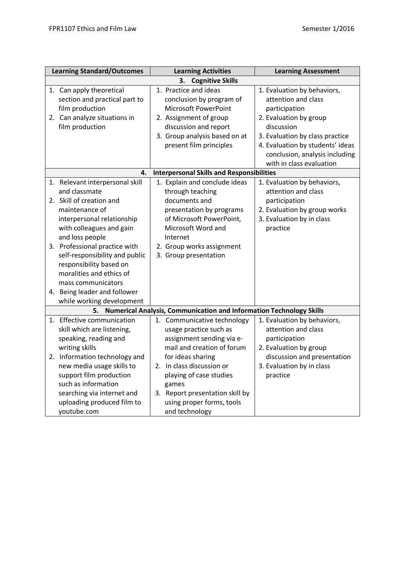| <b>Learning Standard/Outcomes</b>                                                                                                                                                                                                                                                                                                                                                        | <b>Learning Activities</b>                                                                                                                                                                                                                                                               | <b>Learning Assessment</b>                                                                                                                                                                                                                       |  |  |  |  |
|------------------------------------------------------------------------------------------------------------------------------------------------------------------------------------------------------------------------------------------------------------------------------------------------------------------------------------------------------------------------------------------|------------------------------------------------------------------------------------------------------------------------------------------------------------------------------------------------------------------------------------------------------------------------------------------|--------------------------------------------------------------------------------------------------------------------------------------------------------------------------------------------------------------------------------------------------|--|--|--|--|
| <b>Cognitive Skills</b><br>3.                                                                                                                                                                                                                                                                                                                                                            |                                                                                                                                                                                                                                                                                          |                                                                                                                                                                                                                                                  |  |  |  |  |
| 1. Can apply theoretical<br>section and practical part to<br>film production<br>2. Can analyze situations in<br>film production                                                                                                                                                                                                                                                          | 1. Practice and ideas<br>conclusion by program of<br>Microsoft PowerPoint<br>2. Assignment of group<br>discussion and report<br>3. Group analysis based on at<br>present film principles                                                                                                 | 1. Evaluation by behaviors,<br>attention and class<br>participation<br>2. Evaluation by group<br>discussion<br>3. Evaluation by class practice<br>4. Evaluation by students' ideas<br>conclusion, analysis including<br>with in class evaluation |  |  |  |  |
| 4.                                                                                                                                                                                                                                                                                                                                                                                       | <b>Interpersonal Skills and Responsibilities</b>                                                                                                                                                                                                                                         |                                                                                                                                                                                                                                                  |  |  |  |  |
| 1. Relevant interpersonal skill<br>and classmate<br>2. Skill of creation and<br>maintenance of<br>interpersonal relationship<br>with colleagues and gain<br>and loss people<br>3. Professional practice with<br>self-responsibility and public<br>responsibility based on<br>moralities and ethics of<br>mass communicators<br>4. Being leader and follower<br>while working development | 1. Explain and conclude ideas<br>through teaching<br>documents and<br>presentation by programs<br>of Microsoft PowerPoint,<br>Microsoft Word and<br>Internet<br>2. Group works assignment<br>3. Group presentation                                                                       | 1. Evaluation by behaviors,<br>attention and class<br>participation<br>2. Evaluation by group works<br>3. Evaluation by in class<br>practice                                                                                                     |  |  |  |  |
| 5.                                                                                                                                                                                                                                                                                                                                                                                       | <b>Numerical Analysis, Communication and Information Technology Skills</b>                                                                                                                                                                                                               |                                                                                                                                                                                                                                                  |  |  |  |  |
| 1. Effective communication<br>skill which are listening,<br>speaking, reading and<br>writing skills<br>2. Information technology and<br>new media usage skills to<br>support film production<br>such as information<br>searching via internet and<br>uploading produced film to<br>youtube.com                                                                                           | 1. Communicative technology<br>usage practice such as<br>assignment sending via e-<br>mail and creation of forum<br>for ideas sharing<br>2. In class discussion or<br>playing of case studies<br>games<br>3. Report presentation skill by<br>using proper forms, tools<br>and technology | 1. Evaluation by behaviors,<br>attention and class<br>participation<br>2. Evaluation by group<br>discussion and presentation<br>3. Evaluation by in class<br>practice                                                                            |  |  |  |  |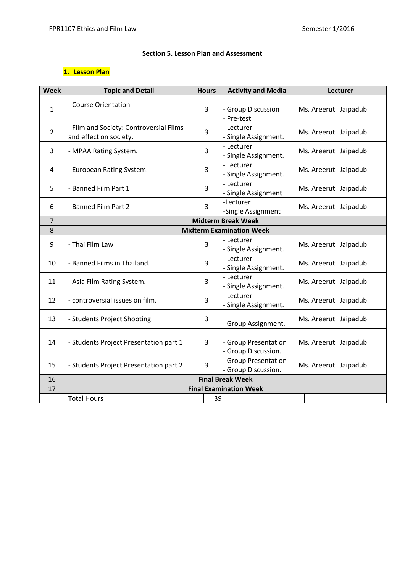### **Section 5. Lesson Plan and Assessment**

# **1. Lesson Plan**

| <b>Week</b>    | <b>Topic and Detail</b>                                           | <b>Hours</b>   | <b>Activity and Media</b>                   |  | Lecturer             |  |
|----------------|-------------------------------------------------------------------|----------------|---------------------------------------------|--|----------------------|--|
| $\mathbf{1}$   | - Course Orientation                                              | 3              | - Group Discussion<br>- Pre-test            |  | Ms. Areerut Jaipadub |  |
| $\overline{2}$ | - Film and Society: Controversial Films<br>and effect on society. | $\overline{3}$ | - Lecturer<br>- Single Assignment.          |  | Ms. Areerut Jaipadub |  |
| 3              | - MPAA Rating System.                                             | 3              | - Lecturer<br>- Single Assignment.          |  | Ms. Areerut Jaipadub |  |
| 4              | - European Rating System.                                         | 3              | - Lecturer<br>- Single Assignment.          |  | Ms. Areerut Jaipadub |  |
| 5              | - Banned Film Part 1                                              | 3              | - Lecturer<br>- Single Assignment           |  | Ms. Areerut Jaipadub |  |
| 6              | - Banned Film Part 2                                              | 3              | -Lecturer<br>-Single Assignment             |  | Ms. Areerut Jaipadub |  |
| $\overline{7}$ | <b>Midterm Break Week</b>                                         |                |                                             |  |                      |  |
| 8              |                                                                   |                | <b>Midterm Examination Week</b>             |  |                      |  |
| 9              | - Thai Film Law                                                   | 3              | - Lecturer<br>- Single Assignment.          |  | Ms. Areerut Jaipadub |  |
| 10             | - Banned Films in Thailand.                                       | $\overline{3}$ | - Lecturer<br>- Single Assignment.          |  | Ms. Areerut Jaipadub |  |
| 11             | - Asia Film Rating System.                                        | 3              | - Lecturer<br>- Single Assignment.          |  | Ms. Areerut Jaipadub |  |
| 12             | - controversial issues on film.                                   | 3              | - Lecturer<br>- Single Assignment.          |  | Ms. Areerut Jaipadub |  |
| 13             | - Students Project Shooting.                                      | 3              | - Group Assignment.                         |  | Ms. Areerut Jaipadub |  |
| 14             | - Students Project Presentation part 1                            | 3              | - Group Presentation<br>- Group Discussion. |  | Ms. Areerut Jaipadub |  |
| 15             | - Students Project Presentation part 2                            | 3              | - Group Presentation<br>- Group Discussion. |  | Ms. Areerut Jaipadub |  |
| 16             | <b>Final Break Week</b>                                           |                |                                             |  |                      |  |
| 17             | <b>Final Examination Week</b>                                     |                |                                             |  |                      |  |
|                | <b>Total Hours</b>                                                | 39             |                                             |  |                      |  |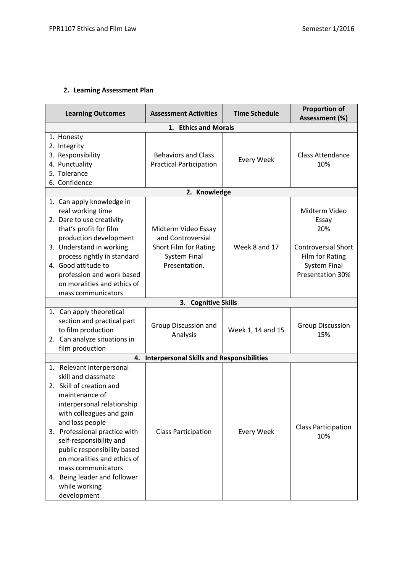# **2. Learning Assessment Plan**

| <b>Learning Outcomes</b>                                                                                                                                                                                                                                                                                                                                                                    | <b>Assessment Activities</b>                                                                              | <b>Time Schedule</b> | <b>Proportion of</b><br>Assessment (%)                                                                                    |  |  |
|---------------------------------------------------------------------------------------------------------------------------------------------------------------------------------------------------------------------------------------------------------------------------------------------------------------------------------------------------------------------------------------------|-----------------------------------------------------------------------------------------------------------|----------------------|---------------------------------------------------------------------------------------------------------------------------|--|--|
| 1. Ethics and Morals                                                                                                                                                                                                                                                                                                                                                                        |                                                                                                           |                      |                                                                                                                           |  |  |
| 1. Honesty<br>2. Integrity<br>3. Responsibility<br>4. Punctuality<br>5. Tolerance<br>6. Confidence                                                                                                                                                                                                                                                                                          | <b>Behaviors and Class</b><br><b>Practical Participation</b>                                              | <b>Every Week</b>    | <b>Class Attendance</b><br>10%                                                                                            |  |  |
|                                                                                                                                                                                                                                                                                                                                                                                             | 2. Knowledge                                                                                              |                      |                                                                                                                           |  |  |
| 1. Can apply knowledge in<br>real working time<br>2. Dare to use creativity<br>that's profit for film<br>production development<br>3. Understand in working<br>process rightly in standard<br>4. Good attitude to<br>profession and work based<br>on moralities and ethics of<br>mass communicators                                                                                         | Midterm Video Essay<br>and Controversial<br>Short Film for Rating<br><b>System Final</b><br>Presentation. | Week 8 and 17        | Midterm Video<br>Essay<br>20%<br><b>Controversial Short</b><br>Film for Rating<br><b>System Final</b><br>Presentation 30% |  |  |
|                                                                                                                                                                                                                                                                                                                                                                                             | <b>Cognitive Skills</b><br>3.                                                                             |                      |                                                                                                                           |  |  |
| 1. Can apply theoretical<br>section and practical part<br>to film production<br>2. Can analyze situations in<br>film production                                                                                                                                                                                                                                                             | Group Discussion and<br>Analysis                                                                          | Week 1, 14 and 15    | <b>Group Discussion</b><br>15%                                                                                            |  |  |
| 4.                                                                                                                                                                                                                                                                                                                                                                                          | <b>Interpersonal Skills and Responsibilities</b>                                                          |                      |                                                                                                                           |  |  |
| 1. Relevant interpersonal<br>skill and classmate<br>2. Skill of creation and<br>maintenance of<br>interpersonal relationship<br>with colleagues and gain<br>and loss people<br>3. Professional practice with<br>self-responsibility and<br>public responsibility based<br>on moralities and ethics of<br>mass communicators<br>4. Being leader and follower<br>while working<br>development | <b>Class Participation</b>                                                                                | <b>Every Week</b>    | <b>Class Participation</b><br>10%                                                                                         |  |  |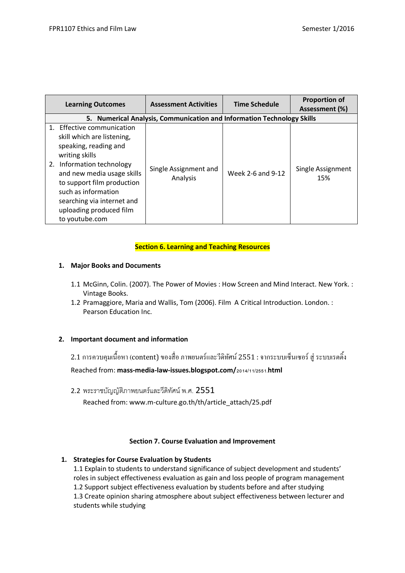| <b>Learning Outcomes</b>                                                                                                                                                                                                                                                                       | <b>Assessment Activities</b>                                           | <b>Time Schedule</b> | <b>Proportion of</b><br>Assessment (%) |
|------------------------------------------------------------------------------------------------------------------------------------------------------------------------------------------------------------------------------------------------------------------------------------------------|------------------------------------------------------------------------|----------------------|----------------------------------------|
|                                                                                                                                                                                                                                                                                                | 5. Numerical Analysis, Communication and Information Technology Skills |                      |                                        |
| 1. Effective communication<br>skill which are listening,<br>speaking, reading and<br>writing skills<br>2. Information technology<br>and new media usage skills<br>to support film production<br>such as information<br>searching via internet and<br>uploading produced film<br>to youtube.com | Single Assignment and<br>Analysis                                      | Week 2-6 and 9-12    | Single Assignment<br>15%               |

## **Section 6. Learning and Teaching Resources**

## **1. Major Books and Documents**

- 1.1 McGinn, Colin. (2007). The Power of Movies : How Screen and Mind Interact. New York. : Vintage Books.
- 1.2 Pramaggiore, Maria and Wallis, Tom (2006). Film A Critical Introduction. London. : Pearson Education Inc.

# **2. Important document and information**

ี่ 2.1 การควบคมเนื้อหา (content) ของสื่อ ภาพยนตร์และวีดิทัศน์ 2551 : จากระบบเซ็นเซอร์ ส่ ระบบเรตติ้ง

Reached from: **mass-media-law-issues.blogspot.com/2014/11/2551.html**

2.2 พระราชบัญญัติภาพยนตร์และวีดิทัศน์ พ.ศ. 2551

Reached from: www.m-culture.go.th/th/article\_attach/25.pdf

### **Section 7. Course Evaluation and Improvement**

# **1. Strategies for Course Evaluation by Students**

1.1 Explain to students to understand significance of subject development and students' roles in subject effectiveness evaluation as gain and loss people of program management 1.2 Support subject effectiveness evaluation by students before and after studying 1.3 Create opinion sharing atmosphere about subject effectiveness between lecturer and students while studying